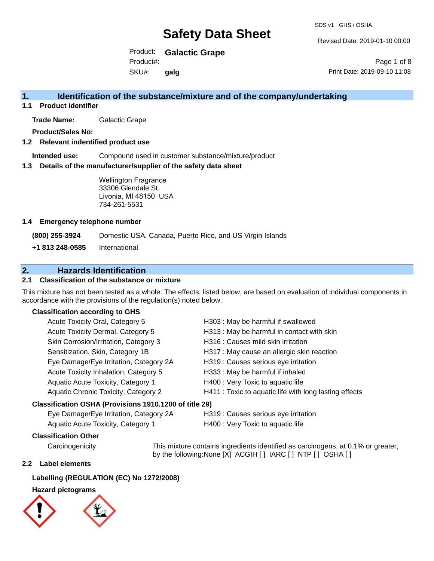Revised Date: 2019-01-10 00:00

Product: **Galactic Grape** Product#:

SKU#: **galg**

# **1. Identification of the substance/mixture and of the company/undertaking**

**1.1 Product identifier**

**Trade Name:** Galactic Grape

**Product/Sales No:**

### **1.2 Relevant indentified product use**

**Intended use:** Compound used in customer substance/mixture/product

#### **1.3 Details of the manufacturer/supplier of the safety data sheet**

Wellington Fragrance 33306 Glendale St. Livonia, MI 48150 USA 734-261-5531

#### **1.4 Emergency telephone number**

**(800) 255-3924** Domestic USA, Canada, Puerto Rico, and US Virgin Islands

**+1 813 248-0585** International

# **2. Hazards Identification**

### **2.1 Classification of the substance or mixture**

This mixture has not been tested as a whole. The effects, listed below, are based on evaluation of individual components in accordance with the provisions of the regulation(s) noted below.

#### **Classification according to GHS**

| Acute Toxicity Oral, Category 5                        | H303: May be harmful if swallowed                      |
|--------------------------------------------------------|--------------------------------------------------------|
| Acute Toxicity Dermal, Category 5                      | H313 : May be harmful in contact with skin             |
| Skin Corrosion/Irritation, Category 3                  | H316 : Causes mild skin irritation                     |
| Sensitization, Skin, Category 1B                       | H317 : May cause an allergic skin reaction             |
| Eye Damage/Eye Irritation, Category 2A                 | H319 : Causes serious eye irritation                   |
| Acute Toxicity Inhalation, Category 5                  | H333: May be harmful if inhaled                        |
| Aquatic Acute Toxicity, Category 1                     | H400 : Very Toxic to aquatic life                      |
| Aquatic Chronic Toxicity, Category 2                   | H411 : Toxic to aquatic life with long lasting effects |
| Classification OSHA (Provisions 1910.1200 of title 29) |                                                        |
|                                                        |                                                        |

Eye Damage/Eye Irritation, Category 2A H319 : Causes serious eye irritation

Aquatic Acute Toxicity, Category 1 H400 : Very Toxic to aquatic life

#### **Classification Other**

Carcinogenicity This mixture contains ingredients identified as carcinogens, at 0.1% or greater, by the following:None [X] ACGIH [ ] IARC [ ] NTP [ ] OSHA [ ]

#### **2.2 Label elements**

#### **Labelling (REGULATION (EC) No 1272/2008)**

## **Hazard pictograms**



Page 1 of 8 Print Date: 2019-09-10 11:08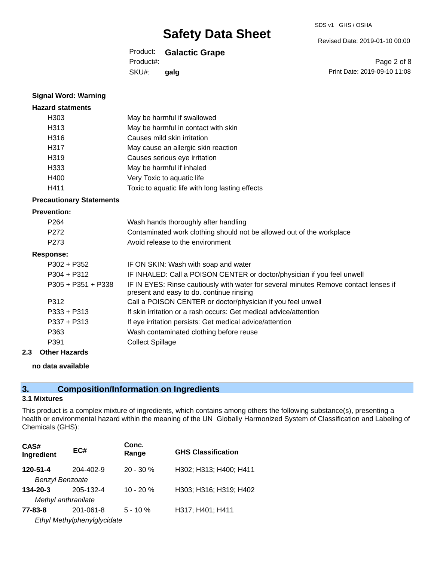#### SDS v1 GHS / OSHA

Revised Date: 2019-01-10 00:00

Print Date: 2019-09-10 11:08

Page 2 of 8

## Product: **Galactic Grape**

Product#:

SKU#: **galg**

| <b>Signal Word: Warning</b>     |                                                                                                                                  |  |
|---------------------------------|----------------------------------------------------------------------------------------------------------------------------------|--|
| <b>Hazard statments</b>         |                                                                                                                                  |  |
| H <sub>303</sub>                | May be harmful if swallowed                                                                                                      |  |
| H313                            | May be harmful in contact with skin                                                                                              |  |
| H316                            | Causes mild skin irritation                                                                                                      |  |
| H317                            | May cause an allergic skin reaction                                                                                              |  |
| H319                            | Causes serious eye irritation                                                                                                    |  |
| H333                            | May be harmful if inhaled                                                                                                        |  |
| H400                            | Very Toxic to aquatic life                                                                                                       |  |
| H411                            | Toxic to aquatic life with long lasting effects                                                                                  |  |
| <b>Precautionary Statements</b> |                                                                                                                                  |  |
| <b>Prevention:</b>              |                                                                                                                                  |  |
| P <sub>264</sub>                | Wash hands thoroughly after handling                                                                                             |  |
| P272                            | Contaminated work clothing should not be allowed out of the workplace                                                            |  |
| P273                            | Avoid release to the environment                                                                                                 |  |
| <b>Response:</b>                |                                                                                                                                  |  |
| $P302 + P352$                   | IF ON SKIN: Wash with soap and water                                                                                             |  |
| $P304 + P312$                   | IF INHALED: Call a POISON CENTER or doctor/physician if you feel unwell                                                          |  |
| $P305 + P351 + P338$            | IF IN EYES: Rinse cautiously with water for several minutes Remove contact lenses if<br>present and easy to do. continue rinsing |  |
| P312                            | Call a POISON CENTER or doctor/physician if you feel unwell                                                                      |  |
| $P333 + P313$                   | If skin irritation or a rash occurs: Get medical advice/attention                                                                |  |
| $P337 + P313$                   | If eye irritation persists: Get medical advice/attention                                                                         |  |
| P363                            | Wash contaminated clothing before reuse                                                                                          |  |
| P391                            | <b>Collect Spillage</b>                                                                                                          |  |

### **2.3 Other Hazards**

### **no data available**

# **3. Composition/Information on Ingredients**

# **3.1 Mixtures**

This product is a complex mixture of ingredients, which contains among others the following substance(s), presenting a health or environmental hazard within the meaning of the UN Globally Harmonized System of Classification and Labeling of Chemicals (GHS):

| CAS#<br>Ingredient     | EC#                         | Conc.<br>Range | <b>GHS Classification</b> |
|------------------------|-----------------------------|----------------|---------------------------|
| 120-51-4               | 204-402-9                   | $20 - 30 \%$   | H302; H313; H400; H411    |
| <b>Benzyl Benzoate</b> |                             |                |                           |
| 134-20-3               | 205-132-4                   | $10 - 20%$     | H303; H316; H319; H402    |
| Methyl anthranilate    |                             |                |                           |
| 77-83-8                | $201 - 061 - 8$             | $5 - 10 \%$    | H317; H401; H411          |
|                        | Ethyl Methylphenylglycidate |                |                           |
|                        |                             |                |                           |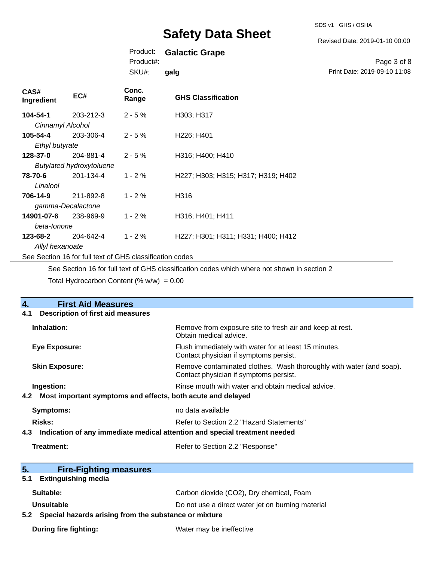SDS v1 GHS / OSHA

#### Revised Date: 2019-01-10 00:00

# Product: **Galactic Grape**

Product#:

SKU#: **galg**

|                              | Page 3 of 8 |  |
|------------------------------|-------------|--|
| Print Date: 2019-09-10 11:08 |             |  |

| CAS#<br>Ingredient                                       | EC#                             | Conc.<br>Range | <b>GHS Classification</b>           |
|----------------------------------------------------------|---------------------------------|----------------|-------------------------------------|
| 104-54-1                                                 | 203-212-3                       | $2 - 5%$       | H303; H317                          |
| Cinnamyl Alcohol                                         |                                 |                |                                     |
| 105-54-4                                                 | 203-306-4                       | $2 - 5%$       | H <sub>226</sub> ; H <sub>401</sub> |
| Ethyl butyrate                                           |                                 |                |                                     |
| 128-37-0                                                 | 204-881-4                       | $2 - 5%$       | H316; H400; H410                    |
|                                                          | <b>Butylated hydroxytoluene</b> |                |                                     |
| 78-70-6                                                  | 201-134-4                       | $1 - 2%$       | H227; H303; H315; H317; H319; H402  |
| Linalool                                                 |                                 |                |                                     |
| 706-14-9                                                 | 211-892-8                       | $1 - 2%$       | H316                                |
| gamma-Decalactone                                        |                                 |                |                                     |
| 14901-07-6                                               | 238-969-9                       | $1 - 2%$       | H316; H401; H411                    |
| beta-lonone                                              |                                 |                |                                     |
| 123-68-2                                                 | 204-642-4                       | $1 - 2%$       | H227; H301; H311; H331; H400; H412  |
| Allyl hexanoate                                          |                                 |                |                                     |
| See Section 16 for full text of GHS classification codes |                                 |                |                                     |

See Section 16 for full text of GHS classification codes which where not shown in section 2

Total Hydrocarbon Content  $(\% w/w) = 0.00$ 

| <b>First Aid Measures</b><br>4.                                                   |                                                                                                               |
|-----------------------------------------------------------------------------------|---------------------------------------------------------------------------------------------------------------|
| <b>Description of first aid measures</b><br>4.1                                   |                                                                                                               |
| Inhalation:                                                                       | Remove from exposure site to fresh air and keep at rest.<br>Obtain medical advice.                            |
| Eye Exposure:                                                                     | Flush immediately with water for at least 15 minutes.<br>Contact physician if symptoms persist.               |
| <b>Skin Exposure:</b>                                                             | Remove contaminated clothes. Wash thoroughly with water (and soap).<br>Contact physician if symptoms persist. |
| Ingestion:                                                                        | Rinse mouth with water and obtain medical advice.                                                             |
| Most important symptoms and effects, both acute and delayed<br>4.2                |                                                                                                               |
| <b>Symptoms:</b>                                                                  | no data available                                                                                             |
| <b>Risks:</b>                                                                     | Refer to Section 2.2 "Hazard Statements"                                                                      |
| Indication of any immediate medical attention and special treatment needed<br>4.3 |                                                                                                               |
| Treatment:                                                                        | Refer to Section 2.2 "Response"                                                                               |
|                                                                                   |                                                                                                               |
| 5.<br><b>Fire-Fighting measures</b>                                               |                                                                                                               |
| <b>Extinguishing media</b><br>5.1                                                 |                                                                                                               |
| Suitable:                                                                         | Carbon dioxide (CO2), Dry chemical, Foam                                                                      |
| <b>Unsuitable</b>                                                                 | Do not use a direct water jet on burning material                                                             |
| 5.2 Special hazards arising from the substance or mixture                         |                                                                                                               |
| <b>During fire fighting:</b>                                                      | Water may be ineffective                                                                                      |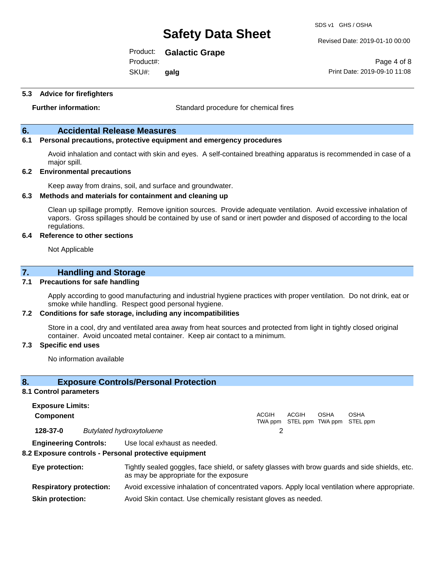SDS v1 GHS / OSHA

Revised Date: 2019-01-10 00:00

Print Date: 2019-09-10 11:08

Page 4 of 8

Product: **Galactic Grape**

Product#:

SKU#: **galg**

### **5.3 Advice for firefighters**

**Further information:** Standard procedure for chemical fires

### **6. Accidental Release Measures**

### **6.1 Personal precautions, protective equipment and emergency procedures**

Avoid inhalation and contact with skin and eyes. A self-contained breathing apparatus is recommended in case of a major spill.

#### **6.2 Environmental precautions**

Keep away from drains, soil, and surface and groundwater.

#### **6.3 Methods and materials for containment and cleaning up**

Clean up spillage promptly. Remove ignition sources. Provide adequate ventilation. Avoid excessive inhalation of vapors. Gross spillages should be contained by use of sand or inert powder and disposed of according to the local regulations.

#### **6.4 Reference to other sections**

Not Applicable

## **7. Handling and Storage**

#### **7.1 Precautions for safe handling**

Apply according to good manufacturing and industrial hygiene practices with proper ventilation. Do not drink, eat or smoke while handling. Respect good personal hygiene.

#### **7.2 Conditions for safe storage, including any incompatibilities**

Store in a cool, dry and ventilated area away from heat sources and protected from light in tightly closed original container. Avoid uncoated metal container. Keep air contact to a minimum.

#### **7.3 Specific end uses**

No information available

### **8. Exposure Controls/Personal Protection**

#### **8.1 Control parameters**

**Exposure Limits: Component** ACGIH TWA ppm STEL ppm TWA ppm STEL ppm ACGIH OSHA OSHA **128-37-0** *Butylated hydroxytoluene* 2 **Engineering Controls:** Use local exhaust as needed.

## **8.2 Exposure controls - Personal protective equipment**

| Eye protection:                | Tightly sealed goggles, face shield, or safety glasses with brow guards and side shields, etc.<br>as may be appropriate for the exposure |
|--------------------------------|------------------------------------------------------------------------------------------------------------------------------------------|
| <b>Respiratory protection:</b> | Avoid excessive inhalation of concentrated vapors. Apply local ventilation where appropriate.                                            |
| <b>Skin protection:</b>        | Avoid Skin contact. Use chemically resistant gloves as needed.                                                                           |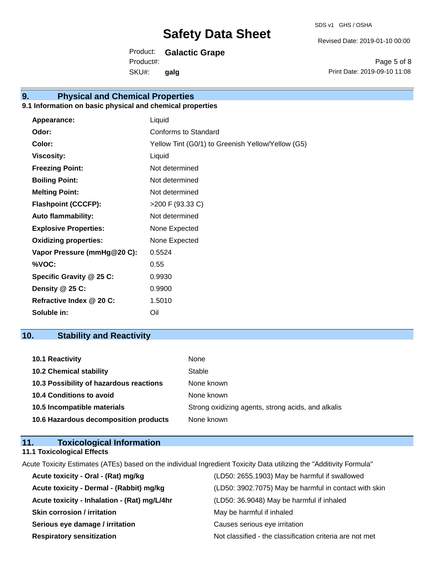Revised Date: 2019-01-10 00:00

Product: **Galactic Grape**

SKU#: Product#: **galg**

Page 5 of 8 Print Date: 2019-09-10 11:08

# **9. Physical and Chemical Properties**

# **9.1 Information on basic physical and chemical properties**

| Appearance:                  | Liquid                                            |
|------------------------------|---------------------------------------------------|
| Odor:                        | Conforms to Standard                              |
| Color:                       | Yellow Tint (G0/1) to Greenish Yellow/Yellow (G5) |
| <b>Viscosity:</b>            | Liquid                                            |
| <b>Freezing Point:</b>       | Not determined                                    |
| <b>Boiling Point:</b>        | Not determined                                    |
| <b>Melting Point:</b>        | Not determined                                    |
| <b>Flashpoint (CCCFP):</b>   | >200 F (93.33 C)                                  |
| <b>Auto flammability:</b>    | Not determined                                    |
| <b>Explosive Properties:</b> | None Expected                                     |
| <b>Oxidizing properties:</b> | None Expected                                     |
| Vapor Pressure (mmHg@20 C):  | 0.5524                                            |
| %VOC:                        | 0.55                                              |
| Specific Gravity @ 25 C:     | 0.9930                                            |
| Density @ 25 C:              | 0.9900                                            |
| Refractive Index @ 20 C:     | 1.5010                                            |
| Soluble in:                  | Oil                                               |

# **10. Stability and Reactivity**

| <b>10.1 Reactivity</b>                  | <b>None</b>                                        |
|-----------------------------------------|----------------------------------------------------|
| <b>10.2 Chemical stability</b>          | Stable                                             |
| 10.3 Possibility of hazardous reactions | None known                                         |
| <b>10.4 Conditions to avoid</b>         | None known                                         |
| 10.5 Incompatible materials             | Strong oxidizing agents, strong acids, and alkalis |
| 10.6 Hazardous decomposition products   | None known                                         |

| 11. | <b>Toxicological Information</b>  |  |
|-----|-----------------------------------|--|
|     | <b>11.1 Toxicological Effects</b> |  |

Acute Toxicity Estimates (ATEs) based on the individual Ingredient Toxicity Data utilizing the "Additivity Formula"

| Acute toxicity - Oral - (Rat) mg/kg          | (LD50: 2655.1903) May be harmful if swallowed            |
|----------------------------------------------|----------------------------------------------------------|
| Acute toxicity - Dermal - (Rabbit) mg/kg     | (LD50: 3902.7075) May be harmful in contact with skin    |
| Acute toxicity - Inhalation - (Rat) mg/L/4hr | (LD50: 36.9048) May be harmful if inhaled                |
| <b>Skin corrosion / irritation</b>           | May be harmful if inhaled                                |
| Serious eye damage / irritation              | Causes serious eye irritation                            |
| <b>Respiratory sensitization</b>             | Not classified - the classification criteria are not met |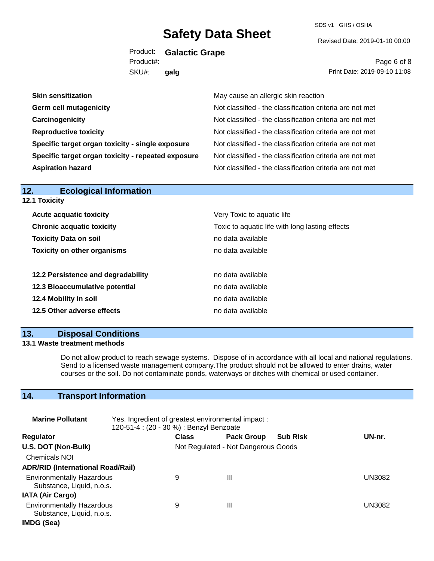SDS v1 GHS / OSHA

Revised Date: 2019-01-10 00:00

Product: **Galactic Grape** SKU#: Product#: **galg**

Page 6 of 8 Print Date: 2019-09-10 11:08

| May cause an allergic skin reaction                      |
|----------------------------------------------------------|
| Not classified - the classification criteria are not met |
| Not classified - the classification criteria are not met |
| Not classified - the classification criteria are not met |
| Not classified - the classification criteria are not met |
| Not classified - the classification criteria are not met |
| Not classified - the classification criteria are not met |
|                                                          |

| <b>Ecological Information</b><br>12. |                                                 |  |  |
|--------------------------------------|-------------------------------------------------|--|--|
| <b>12.1 Toxicity</b>                 |                                                 |  |  |
| <b>Acute acquatic toxicity</b>       | Very Toxic to aquatic life                      |  |  |
| <b>Chronic acquatic toxicity</b>     | Toxic to aquatic life with long lasting effects |  |  |
| <b>Toxicity Data on soil</b>         | no data available                               |  |  |
| <b>Toxicity on other organisms</b>   | no data available                               |  |  |
| 12.2 Persistence and degradability   | no data available                               |  |  |
| 12.3 Bioaccumulative potential       | no data available                               |  |  |
| 12.4 Mobility in soil                | no data available                               |  |  |
| 12.5 Other adverse effects           | no data available                               |  |  |
|                                      |                                                 |  |  |

## **13. Disposal Conditions**

#### **13.1 Waste treatment methods**

Do not allow product to reach sewage systems. Dispose of in accordance with all local and national regulations. Send to a licensed waste management company.The product should not be allowed to enter drains, water courses or the soil. Do not contaminate ponds, waterways or ditches with chemical or used container.

# **14. Transport Information**

| <b>Marine Pollutant</b>                                       | Yes. Ingredient of greatest environmental impact:<br>120-51-4 : (20 - 30 %) : Benzyl Benzoate |                                     |                   |                 |               |
|---------------------------------------------------------------|-----------------------------------------------------------------------------------------------|-------------------------------------|-------------------|-----------------|---------------|
| <b>Regulator</b>                                              |                                                                                               | <b>Class</b>                        | <b>Pack Group</b> | <b>Sub Risk</b> | UN-nr.        |
| U.S. DOT (Non-Bulk)                                           |                                                                                               | Not Regulated - Not Dangerous Goods |                   |                 |               |
| <b>Chemicals NOI</b>                                          |                                                                                               |                                     |                   |                 |               |
| <b>ADR/RID (International Road/Rail)</b>                      |                                                                                               |                                     |                   |                 |               |
| <b>Environmentally Hazardous</b><br>Substance, Liquid, n.o.s. |                                                                                               | 9                                   | Ш                 |                 | UN3082        |
| <b>IATA (Air Cargo)</b>                                       |                                                                                               |                                     |                   |                 |               |
| <b>Environmentally Hazardous</b><br>Substance, Liquid, n.o.s. |                                                                                               | 9                                   | Ш                 |                 | <b>UN3082</b> |
| IMDG (Sea)                                                    |                                                                                               |                                     |                   |                 |               |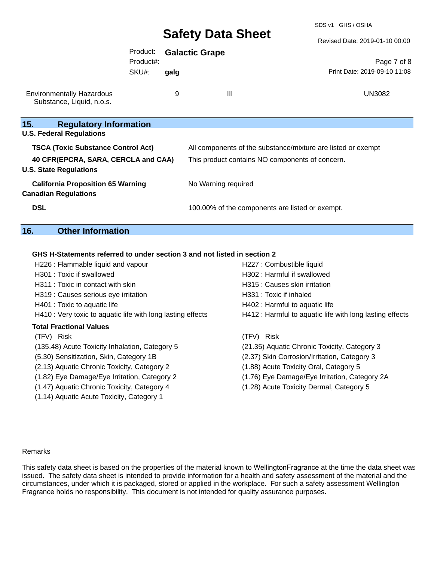SDS v1 GHS / OSHA

Revised Date: 2019-01-10 00:00

|                                                               | Product:<br>Product#: |                                                 | <b>Galactic Grape</b>                                        | Page 7 of 8                  |
|---------------------------------------------------------------|-----------------------|-------------------------------------------------|--------------------------------------------------------------|------------------------------|
|                                                               | SKU#:                 | galg                                            |                                                              | Print Date: 2019-09-10 11:08 |
| <b>Environmentally Hazardous</b><br>Substance, Liquid, n.o.s. |                       | 9                                               | Ш                                                            | <b>UN3082</b>                |
| 15.<br><b>Regulatory Information</b>                          |                       |                                                 |                                                              |                              |
| <b>U.S. Federal Regulations</b>                               |                       |                                                 |                                                              |                              |
| <b>TSCA (Toxic Substance Control Act)</b>                     |                       |                                                 | All components of the substance/mixture are listed or exempt |                              |
| 40 CFR(EPCRA, SARA, CERCLA and CAA)                           |                       | This product contains NO components of concern. |                                                              |                              |
| <b>U.S. State Regulations</b>                                 |                       |                                                 |                                                              |                              |
| <b>California Proposition 65 Warning</b>                      |                       |                                                 | No Warning required                                          |                              |
| <b>Canadian Regulations</b>                                   |                       |                                                 |                                                              |                              |
| <b>DSL</b>                                                    |                       |                                                 | 100.00% of the components are listed or exempt.              |                              |
| 16.<br><b>Other Information</b>                               |                       |                                                 |                                                              |                              |

### **GHS H-Statements referred to under section 3 and not listed in section 2**

| H226 : Flammable liquid and vapour                          | H227 : Combustible liquid                                |
|-------------------------------------------------------------|----------------------------------------------------------|
| H301 : Toxic if swallowed                                   | H302 : Harmful if swallowed                              |
| H311 : Toxic in contact with skin                           | H315 : Causes skin irritation                            |
| H319 : Causes serious eye irritation                        | H331 : Toxic if inhaled                                  |
| H401 : Toxic to aquatic life                                | H402 : Harmful to aquatic life                           |
| H410 : Very toxic to aquatic life with long lasting effects | H412 : Harmful to aquatic life with long lasting effects |
| <b>Total Fractional Values</b>                              |                                                          |
| (TFV) Risk                                                  | Risk<br>(TFV).                                           |
| (135.48) Acute Toxicity Inhalation, Category 5              | (21.35) Aquatic Chronic Toxicity, Category 3             |
| (5.30) Sensitization, Skin, Category 1B                     | (2.37) Skin Corrosion/Irritation, Category 3             |
| (2.13) Aquatic Chronic Toxicity, Category 2                 | (1.88) Acute Toxicity Oral, Category 5                   |
| (1.82) Eye Damage/Eye Irritation, Category 2                | (1.76) Eye Damage/Eye Irritation, Category 2A            |
| (1.47) Aquatic Chronic Toxicity, Category 4                 | (1.28) Acute Toxicity Dermal, Category 5                 |
| (1.14) Aquatic Acute Toxicity, Category 1                   |                                                          |

#### Remarks

This safety data sheet is based on the properties of the material known to WellingtonFragrance at the time the data sheet was issued. The safety data sheet is intended to provide information for a health and safety assessment of the material and the circumstances, under which it is packaged, stored or applied in the workplace. For such a safety assessment Wellington Fragrance holds no responsibility. This document is not intended for quality assurance purposes.